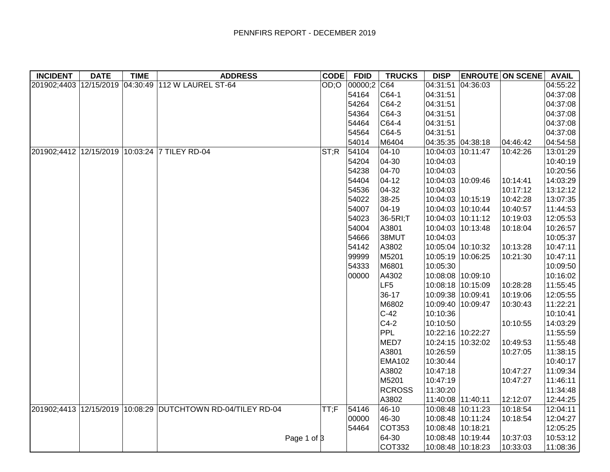| <b>INCIDENT</b> | <b>DATE</b> | <b>TIME</b> | <b>ADDRESS</b>                                              | <b>CODE</b> | <b>FDID</b>  | <b>TRUCKS</b> | <b>DISP</b>       |                   | <b>ENROUTE ON SCENE</b> | <b>AVAIL</b> |
|-----------------|-------------|-------------|-------------------------------------------------------------|-------------|--------------|---------------|-------------------|-------------------|-------------------------|--------------|
|                 |             |             | 201902;4403 12/15/2019 04:30:49 112 W LAUREL ST-64          |             | OD;O 00000;2 | C64           | 04:31:51          | 04:36:03          |                         | 04:55:22     |
|                 |             |             |                                                             |             | 54164        | C64-1         | 04:31:51          |                   |                         | 04:37:08     |
|                 |             |             |                                                             |             | 54264        | C64-2         | 04:31:51          |                   |                         | 04:37:08     |
|                 |             |             |                                                             |             | 54364        | C64-3         | 04:31:51          |                   |                         | 04:37:08     |
|                 |             |             |                                                             |             | 54464        | C64-4         | 04:31:51          |                   |                         | 04:37:08     |
|                 |             |             |                                                             |             | 54564        | $ C64-5 $     | 04:31:51          |                   |                         | 04:37:08     |
|                 |             |             |                                                             |             | 54014        | M6404         | 04:35:35 04:38:18 |                   | 04:46:42                | 04:54:58     |
|                 |             |             | 201902;4412 12/15/2019 10:03:24 7 TILEY RD-04               | ST;R        | 54104        | $ 04-10$      | 10:04:03 10:11:47 |                   | 10:42:26                | 13:01:29     |
|                 |             |             |                                                             |             | 54204        | $ 04-30$      | 10:04:03          |                   |                         | 10:40:19     |
|                 |             |             |                                                             |             | 54238        | $ 04 - 70$    | 10:04:03          |                   |                         | 10:20:56     |
|                 |             |             |                                                             |             | 54404        | $ 04-12 $     | 10:04:03 10:09:46 |                   | 10:14:41                | 14:03:29     |
|                 |             |             |                                                             |             | 54536        | 04-32         | 10:04:03          |                   | 10:17:12                | 13:12:12     |
|                 |             |             |                                                             |             | 54022        | 38-25         | 10:04:03 10:15:19 |                   | 10:42:28                | 13:07:35     |
|                 |             |             |                                                             |             | 54007        | $ 04 - 19$    | 10:04:03 10:10:44 |                   | 10:40:57                | 11:44:53     |
|                 |             |             |                                                             |             | 54023        | 36-5RI;T      |                   | 10:04:03 10:11:12 | 10:19:03                | 12:05:53     |
|                 |             |             |                                                             |             | 54004        | A3801         | 10:04:03 10:13:48 |                   | 10:18:04                | 10:26:57     |
|                 |             |             |                                                             |             | 54666        | 38MUT         | 10:04:03          |                   |                         | 10:05:37     |
|                 |             |             |                                                             |             | 54142        | A3802         | 10:05:04 10:10:32 |                   | 10:13:28                | 10:47:11     |
|                 |             |             |                                                             |             | 99999        | M5201         | 10:05:19 10:06:25 |                   | 10:21:30                | 10:47:11     |
|                 |             |             |                                                             |             | 54333        | M6801         | 10:05:30          |                   |                         | 10:09:50     |
|                 |             |             |                                                             |             | 00000        | A4302         | 10:08:08 10:09:10 |                   |                         | 10:16:02     |
|                 |             |             |                                                             |             |              | LF5           | 10:08:18 10:15:09 |                   | 10:28:28                | 11:55:45     |
|                 |             |             |                                                             |             |              | 36-17         | 10:09:38 10:09:41 |                   | 10:19:06                | 12:05:55     |
|                 |             |             |                                                             |             |              | M6802         | 10:09:40 10:09:47 |                   | 10:30:43                | 11:22:21     |
|                 |             |             |                                                             |             |              | $C-42$        | 10:10:36          |                   |                         | 10:10:41     |
|                 |             |             |                                                             |             |              | $C4-2$        | 10:10:50          |                   | 10:10:55                | 14:03:29     |
|                 |             |             |                                                             |             |              | PPL           | 10:22:16 10:22:27 |                   |                         | 11:55:59     |
|                 |             |             |                                                             |             |              | MED7          | 10:24:15 10:32:02 |                   | 10:49:53                | 11:55:48     |
|                 |             |             |                                                             |             |              | A3801         | 10:26:59          |                   | 10:27:05                | 11:38:15     |
|                 |             |             |                                                             |             |              | <b>EMA102</b> | 10:30:44          |                   |                         | 10:40:17     |
|                 |             |             |                                                             |             |              | A3802         | 10:47:18          |                   | 10:47:27                | 11:09:34     |
|                 |             |             |                                                             |             |              | M5201         | 10:47:19          |                   | 10:47:27                | 11:46:11     |
|                 |             |             |                                                             |             |              | <b>RCROSS</b> | 11:30:20          |                   |                         | 11:34:48     |
|                 |             |             |                                                             |             |              | A3802         | 11:40:08 11:40:11 |                   | 12:12:07                | 12:44:25     |
|                 |             |             | 201902;4413 12/15/2019 10:08:29 DUTCHTOWN RD-04/TILEY RD-04 | TT;F        | 54146        | 46-10         | 10:08:48 10:11:23 |                   | 10:18:54                | 12:04:11     |
|                 |             |             |                                                             |             | 00000        | 46-30         | 10:08:48 10:11:24 |                   | 10:18:54                | 12:04:27     |
|                 |             |             |                                                             |             | 54464        | COT353        | 10:08:48 10:18:21 |                   |                         | 12:05:25     |
|                 |             |             | Page 1 of 3                                                 |             |              | 64-30         |                   | 10:08:48 10:19:44 | 10:37:03                | 10:53:12     |
|                 |             |             |                                                             |             |              | <b>COT332</b> | 10:08:48 10:18:23 |                   | 10:33:03                | 11:08:36     |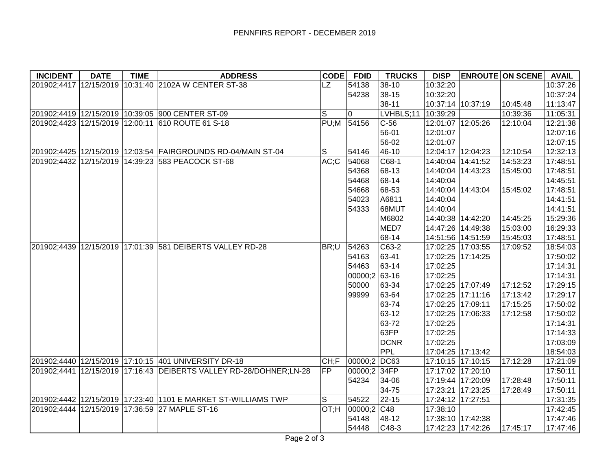| <b>INCIDENT</b> | <b>DATE</b> | <b>TIME</b> | <b>ADDRESS</b>                                                           | CODE      | <b>FDID</b>     | <b>TRUCKS</b> | <b>DISP</b>       |                   | <b>ENROUTE ON SCENE</b> | <b>AVAIL</b> |
|-----------------|-------------|-------------|--------------------------------------------------------------------------|-----------|-----------------|---------------|-------------------|-------------------|-------------------------|--------------|
|                 |             |             | 201902;4417 12/15/2019 10:31:40 2102A W CENTER ST-38                     | <b>LZ</b> | 54138           | $38-10$       | 10:32:20          |                   |                         | 10:37:26     |
|                 |             |             |                                                                          |           | 54238           | 38-15         | 10:32:20          |                   |                         | 10:37:24     |
|                 |             |             |                                                                          |           |                 | 38-11         |                   | 10:37:14 10:37:19 | 10:45:48                | 11:13:47     |
|                 |             |             | 201902;4419 12/15/2019 10:39:05 900 CENTER ST-09                         | S         | 0               | LVHBLS;11     | 10:39:29          |                   | 10:39:36                | 11:05:31     |
|                 |             |             | 201902;4423 12/15/2019 12:00:11 610 ROUTE 61 S-18                        |           | PU;M 54156      | $C-56$        |                   | 12:01:07 12:05:26 | 12:10:04                | 12:21:38     |
|                 |             |             |                                                                          |           |                 | 56-01         | 12:01:07          |                   |                         | 12:07:16     |
|                 |             |             |                                                                          |           |                 | 56-02         | 12:01:07          |                   |                         | 12:07:15     |
|                 |             |             | 201902;4425 12/15/2019 12:03:54 FAIRGROUNDS RD-04/MAIN ST-04             | S         | 54146           | 46-10         | 12:04:17          | 12:04:23          | 12:10:54                | 12:32:13     |
|                 |             |             | 201902;4432 12/15/2019 14:39:23 583 PEACOCK ST-68                        | AC;C      | 54068           | C68-1         | 14:40:04          | 14:41:52          | 14:53:23                | 17:48:51     |
|                 |             |             |                                                                          |           | 54368           | 68-13         | 14:40:04          | 14:43:23          | 15:45:00                | 17:48:51     |
|                 |             |             |                                                                          |           | 54468           | 68-14         | 14:40:04          |                   |                         | 14:45:51     |
|                 |             |             |                                                                          |           | 54668           | 68-53         | 14:40:04          | 14:43:04          | 15:45:02                | 17:48:51     |
|                 |             |             |                                                                          |           | 54023           | A6811         | 14:40:04          |                   |                         | 14:41:51     |
|                 |             |             |                                                                          |           | 54333           | 68MUT         | 14:40:04          |                   |                         | 14:41:51     |
|                 |             |             |                                                                          |           |                 | M6802         |                   | 14:40:38 14:42:20 | 14:45:25                | 15:29:36     |
|                 |             |             |                                                                          |           |                 | MED7          | 14:47:26          | 14:49:38          | 15:03:00                | 16:29:33     |
|                 |             |             |                                                                          |           |                 | 68-14         |                   | 14:51:56 14:51:59 | 15:45:03                | 17:48:51     |
|                 |             |             | 201902;4439 12/15/2019 17:01:39 581 DEIBERTS VALLEY RD-28                | BR;U      | 54263           | C63-2         |                   | 17:02:25 17:03:55 | 17:09:52                | 18:54:03     |
|                 |             |             |                                                                          |           | 54163           | 63-41         |                   | 17:02:25 17:14:25 |                         | 17:50:02     |
|                 |             |             |                                                                          |           | 54463           | 63-14         | 17:02:25          |                   |                         | 17:14:31     |
|                 |             |             |                                                                          |           | $00000;2$ 63-16 |               | 17:02:25          |                   |                         | 17:14:31     |
|                 |             |             |                                                                          |           | 50000           | 63-34         |                   | 17:02:25 17:07:49 | 17:12:52                | 17:29:15     |
|                 |             |             |                                                                          |           | 99999           | 63-64         |                   | 17:02:25 17:11:16 | 17:13:42                | 17:29:17     |
|                 |             |             |                                                                          |           |                 | 63-74         | 17:02:25 17:09:11 |                   | 17:15:25                | 17:50:02     |
|                 |             |             |                                                                          |           |                 | 63-12         |                   | 17:02:25 17:06:33 | 17:12:58                | 17:50:02     |
|                 |             |             |                                                                          |           |                 | 63-72         | 17:02:25          |                   |                         | 17:14:31     |
|                 |             |             |                                                                          |           |                 | 63FP          | 17:02:25          |                   |                         | 17:14:33     |
|                 |             |             |                                                                          |           |                 | <b>DCNR</b>   | 17:02:25          |                   |                         | 17:03:09     |
|                 |             |             |                                                                          |           |                 | PPL           |                   | 17:04:25 17:13:42 |                         | 18:54:03     |
|                 |             |             | 201902;4440 12/15/2019 17:10:15 401 UNIVERSITY DR-18                     | CH;F      | 00000;2 DC63    |               |                   | 17:10:15 17:10:15 | 17:12:28                | 17:21:09     |
|                 |             |             | 201902;4441   12/15/2019   17:16:43   DEIBERTS VALLEY RD-28/DOHNER;LN-28 | <b>FP</b> | 00000;2 34FP    |               |                   | 17:17:02 17:20:10 |                         | 17:50:11     |
|                 |             |             |                                                                          |           | 54234           | 34-06         |                   | 17:19:44 17:20:09 | 17:28:48                | 17:50:11     |
|                 |             |             |                                                                          |           |                 | 34-75         |                   | 17:23:21 17:23:25 | 17:28:49                | 17:50:11     |
|                 |             |             | 201902;4442 12/15/2019 17:23:40 1101 E MARKET ST-WILLIAMS TWP            | S         | 54522           | 22-15         | 17:24:12 17:27:51 |                   |                         | 17:31:35     |
|                 |             |             | 201902;4444 12/15/2019 17:36:59 27 MAPLE ST-16                           | $HT$ ; TO | 00000;2         | C48           | 17:38:10          |                   |                         | 17:42:45     |
|                 |             |             |                                                                          |           | 54148           | 48-12         |                   | 17:38:10 17:42:38 |                         | 17:47:46     |
|                 |             |             |                                                                          |           | 54448           | $C48-3$       |                   | 17:42:23 17:42:26 | 17:45:17                | 17:47:46     |